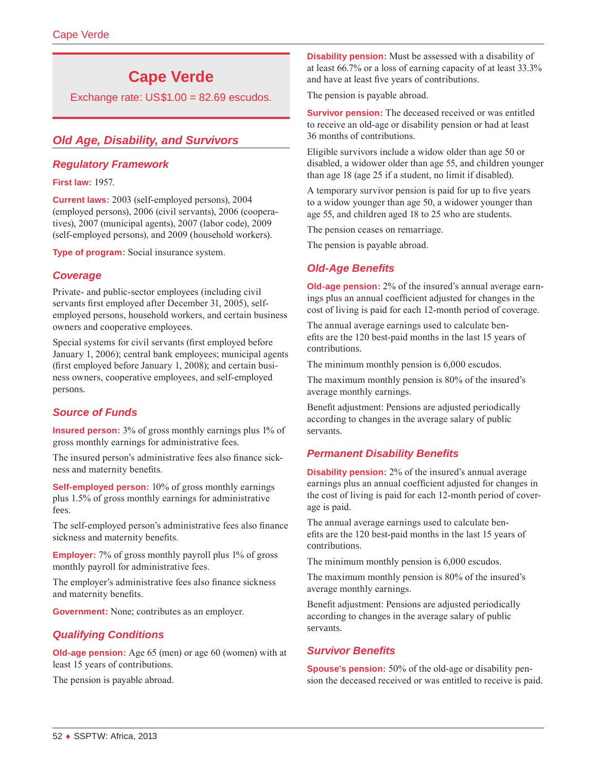# **Cape Verde**

Exchange rate: US\$1.00 = 82.69 escudos.

# *Old Age, Disability, and Survivors*

#### *Regulatory Framework*

**First law:** 1957.

**Current laws:** 2003 (self-employed persons), 2004 (employed persons), 2006 (civil servants), 2006 (cooperatives), 2007 (municipal agents), 2007 (labor code), 2009 (self-employed persons), and 2009 (household workers).

**Type of program:** Social insurance system.

#### *Coverage*

Private- and public-sector employees (including civil servants first employed after December 31, 2005), selfemployed persons, household workers, and certain business owners and cooperative employees.

Special systems for civil servants (first employed before January 1, 2006); central bank employees; municipal agents (first employed before January 1, 2008); and certain business owners, cooperative employees, and self-employed persons.

# *Source of Funds*

**Insured person:** 3% of gross monthly earnings plus 1% of gross monthly earnings for administrative fees.

The insured person's administrative fees also finance sickness and maternity benefits.

**Self-employed person:** 10% of gross monthly earnings plus 1.5% of gross monthly earnings for administrative fees.

The self-employed person's administrative fees also finance sickness and maternity benefits.

**Employer:** 7% of gross monthly payroll plus 1% of gross monthly payroll for administrative fees.

The employer's administrative fees also finance sickness and maternity benefits.

**Government:** None; contributes as an employer.

## *Qualifying Conditions*

**Old-age pension:** Age 65 (men) or age 60 (women) with at least 15 years of contributions.

The pension is payable abroad.

**Disability pension:** Must be assessed with a disability of at least 66.7% or a loss of earning capacity of at least 33.3% and have at least five years of contributions.

The pension is payable abroad.

**Survivor pension:** The deceased received or was entitled to receive an old-age or disability pension or had at least 36 months of contributions.

Eligible survivors include a widow older than age 50 or disabled, a widower older than age 55, and children younger than age 18 (age 25 if a student, no limit if disabled).

A temporary survivor pension is paid for up to five years to a widow younger than age 50, a widower younger than age 55, and children aged 18 to 25 who are students.

The pension ceases on remarriage.

The pension is payable abroad.

## *Old-Age Benefits*

**Old-age pension:** 2% of the insured's annual average earnings plus an annual coefficient adjusted for changes in the cost of living is paid for each 12-month period of coverage.

The annual average earnings used to calculate benefits are the 120 best-paid months in the last 15 years of contributions.

The minimum monthly pension is 6,000 escudos.

The maximum monthly pension is 80% of the insured's average monthly earnings.

Benefit adjustment: Pensions are adjusted periodically according to changes in the average salary of public servants.

## *Permanent Disability Benefits*

**Disability pension:** 2% of the insured's annual average earnings plus an annual coefficient adjusted for changes in the cost of living is paid for each 12-month period of coverage is paid.

The annual average earnings used to calculate benefits are the 120 best-paid months in the last 15 years of contributions.

The minimum monthly pension is 6,000 escudos.

The maximum monthly pension is 80% of the insured's average monthly earnings.

Benefit adjustment: Pensions are adjusted periodically according to changes in the average salary of public servants.

## *Survivor Benefits*

**Spouse's pension:** 50% of the old-age or disability pension the deceased received or was entitled to receive is paid.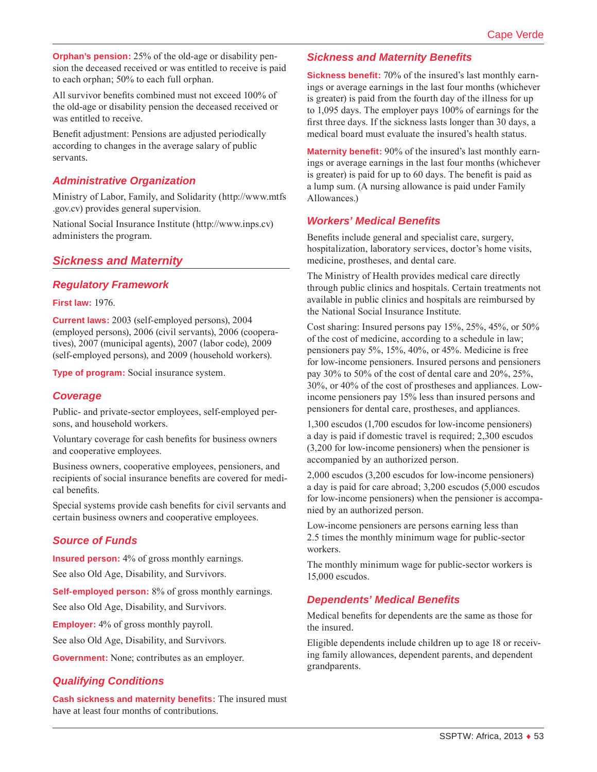**Orphan's pension:** 25% of the old-age or disability pension the deceased received or was entitled to receive is paid to each orphan; 50% to each full orphan.

All survivor benefits combined must not exceed 100% of the old-age or disability pension the deceased received or was entitled to receive.

Benefit adjustment: Pensions are adjusted periodically according to changes in the average salary of public servants.

# *Administrative Organization*

Ministry of Labor, Family, and Solidarity ([http://www.mtfs](http://www.mtfs.gov.cv) [.gov.cv\)](http://www.mtfs.gov.cv) provides general supervision.

National Social Insurance Institute (<http://www.inps.cv>) administers the program.

# *Sickness and Maternity*

#### *Regulatory Framework*

#### **First law:** 1976.

**Current laws:** 2003 (self-employed persons), 2004 (employed persons), 2006 (civil servants), 2006 (cooperatives), 2007 (municipal agents), 2007 (labor code), 2009 (self-employed persons), and 2009 (household workers).

**Type of program:** Social insurance system.

#### *Coverage*

Public- and private-sector employees, self-employed persons, and household workers.

Voluntary coverage for cash benefits for business owners and cooperative employees.

Business owners, cooperative employees, pensioners, and recipients of social insurance benefits are covered for medical benefits.

Special systems provide cash benefits for civil servants and certain business owners and cooperative employees.

## *Source of Funds*

**Insured person:** 4% of gross monthly earnings.

See also Old Age, Disability, and Survivors.

**Self-employed person:** 8% of gross monthly earnings.

See also Old Age, Disability, and Survivors.

**Employer:** 4% of gross monthly payroll.

See also Old Age, Disability, and Survivors.

**Government:** None; contributes as an employer.

#### *Qualifying Conditions*

**Cash sickness and maternity benefits:** The insured must have at least four months of contributions.

#### *Sickness and Maternity Benefits*

**Sickness benefit:** 70% of the insured's last monthly earnings or average earnings in the last four months (whichever is greater) is paid from the fourth day of the illness for up to 1,095 days. The employer pays 100% of earnings for the first three days. If the sickness lasts longer than 30 days, a medical board must evaluate the insured's health status.

**Maternity benefit:** 90% of the insured's last monthly earnings or average earnings in the last four months (whichever is greater) is paid for up to 60 days. The benefit is paid as a lump sum. (A nursing allowance is paid under Family Allowances.)

#### *Workers' Medical Benefits*

Benefits include general and specialist care, surgery, hospitalization, laboratory services, doctor's home visits, medicine, prostheses, and dental care.

The Ministry of Health provides medical care directly through public clinics and hospitals. Certain treatments not available in public clinics and hospitals are reimbursed by the National Social Insurance Institute.

Cost sharing: Insured persons pay 15%, 25%, 45%, or 50% of the cost of medicine, according to a schedule in law; pensioners pay 5%, 15%, 40%, or 45%. Medicine is free for low-income pensioners. Insured persons and pensioners pay 30% to 50% of the cost of dental care and 20%, 25%, 30%, or 40% of the cost of prostheses and appliances. Lowincome pensioners pay 15% less than insured persons and pensioners for dental care, prostheses, and appliances.

1,300 escudos (1,700 escudos for low-income pensioners) a day is paid if domestic travel is required; 2,300 escudos (3,200 for low-income pensioners) when the pensioner is accompanied by an authorized person.

2,000 escudos (3,200 escudos for low-income pensioners) a day is paid for care abroad; 3,200 escudos (5,000 escudos for low-income pensioners) when the pensioner is accompanied by an authorized person.

Low-income pensioners are persons earning less than 2.5 times the monthly minimum wage for public-sector workers.

The monthly minimum wage for public-sector workers is 15,000 escudos.

#### *Dependents' Medical Benefits*

Medical benefits for dependents are the same as those for the insured.

Eligible dependents include children up to age 18 or receiving family allowances, dependent parents, and dependent grandparents.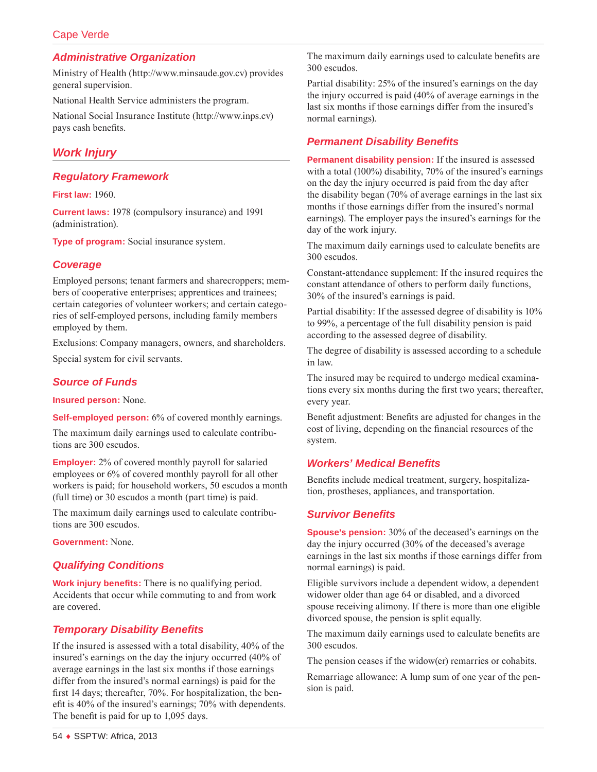# Cape Verde

#### *Administrative Organization*

Ministry of Health (<http://www.minsaude.gov.cv>) provides general supervision.

National Health Service administers the program.

National Social Insurance Institute (<http://www.inps.cv>) pays cash benefits.

# *Work Injury*

#### *Regulatory Framework*

**First law:** 1960.

**Current laws:** 1978 (compulsory insurance) and 1991 (administration).

**Type of program:** Social insurance system.

#### *Coverage*

Employed persons; tenant farmers and sharecroppers; members of cooperative enterprises; apprentices and trainees; certain categories of volunteer workers; and certain categories of self-employed persons, including family members employed by them.

Exclusions: Company managers, owners, and shareholders. Special system for civil servants.

# *Source of Funds*

**Insured person:** None.

**Self-employed person:** 6% of covered monthly earnings.

The maximum daily earnings used to calculate contributions are 300 escudos.

**Employer:** 2% of covered monthly payroll for salaried employees or 6% of covered monthly payroll for all other workers is paid; for household workers, 50 escudos a month (full time) or 30 escudos a month (part time) is paid.

The maximum daily earnings used to calculate contributions are 300 escudos.

**Government:** None.

## *Qualifying Conditions*

**Work injury benefits:** There is no qualifying period. Accidents that occur while commuting to and from work are covered.

## *Temporary Disability Benefits*

If the insured is assessed with a total disability, 40% of the insured's earnings on the day the injury occurred (40% of average earnings in the last six months if those earnings differ from the insured's normal earnings) is paid for the first 14 days; thereafter, 70%. For hospitalization, the benefit is 40% of the insured's earnings; 70% with dependents. The benefit is paid for up to 1,095 days.

The maximum daily earnings used to calculate benefits are 300 escudos.

Partial disability: 25% of the insured's earnings on the day the injury occurred is paid (40% of average earnings in the last six months if those earnings differ from the insured's normal earnings).

#### *Permanent Disability Benefits*

**Permanent disability pension:** If the insured is assessed with a total (100%) disability, 70% of the insured's earnings on the day the injury occurred is paid from the day after the disability began (70% of average earnings in the last six months if those earnings differ from the insured's normal earnings). The employer pays the insured's earnings for the day of the work injury.

The maximum daily earnings used to calculate benefits are 300 escudos.

Constant-attendance supplement: If the insured requires the constant attendance of others to perform daily functions, 30% of the insured's earnings is paid.

Partial disability: If the assessed degree of disability is 10% to 99%, a percentage of the full disability pension is paid according to the assessed degree of disability.

The degree of disability is assessed according to a schedule in law.

The insured may be required to undergo medical examinations every six months during the first two years; thereafter, every year.

Benefit adjustment: Benefits are adjusted for changes in the cost of living, depending on the financial resources of the system.

#### *Workers' Medical Benefits*

Benefits include medical treatment, surgery, hospitalization, prostheses, appliances, and transportation.

#### *Survivor Benefits*

**Spouse's pension:** 30% of the deceased's earnings on the day the injury occurred (30% of the deceased's average earnings in the last six months if those earnings differ from normal earnings) is paid.

Eligible survivors include a dependent widow, a dependent widower older than age 64 or disabled, and a divorced spouse receiving alimony. If there is more than one eligible divorced spouse, the pension is split equally.

The maximum daily earnings used to calculate benefits are 300 escudos.

The pension ceases if the widow(er) remarries or cohabits.

Remarriage allowance: A lump sum of one year of the pension is paid.